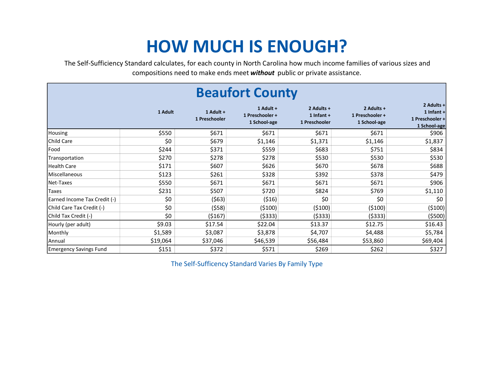## HOW MUCH IS ENOUGH?

The Self-Sufficiency Standard calculates, for each county in North Carolina how much income families of various sizes and compositions need to make ends meet without public or private assistance.

|                               |          |                            | <b>Beaufort County</b>                       |                                             |                                               |                                                             |
|-------------------------------|----------|----------------------------|----------------------------------------------|---------------------------------------------|-----------------------------------------------|-------------------------------------------------------------|
|                               | 1 Adult  | 1 Adult +<br>1 Preschooler | 1 Adult +<br>1 Preschooler +<br>1 School-age | 2 Adults +<br>1 Infant $+$<br>1 Preschooler | 2 Adults +<br>1 Preschooler +<br>1 School-age | 2 Adults +<br>1 Infant +<br>1 Preschooler +<br>1 School-age |
| Housing                       | \$550    | \$671                      | \$671                                        | \$671                                       | \$671                                         | \$906                                                       |
| Child Care                    | \$0      | \$679                      | \$1,146                                      | \$1,371                                     | \$1,146                                       | \$1,837                                                     |
| Food                          | \$244    | \$371                      | \$559                                        | \$683                                       | \$751                                         | \$834                                                       |
| Transportation                | \$270    | \$278                      | \$278                                        | \$530                                       | \$530                                         | \$530                                                       |
| Health Care                   | \$171    | \$607                      | \$626                                        | \$670                                       | \$678                                         | \$688                                                       |
| Miscellaneous                 | \$123    | \$261                      | \$328                                        | \$392                                       | \$378                                         | \$479                                                       |
| Net-Taxes                     | \$550    | \$671                      | \$671                                        | \$671                                       | \$671                                         | \$906                                                       |
| <b>Taxes</b>                  | \$231    | \$507                      | \$720                                        | \$824                                       | \$769                                         | \$1,110                                                     |
| Earned Income Tax Credit (-)  | \$0      | (563)                      | (516)                                        | \$0                                         | \$0                                           | \$0                                                         |
| Child Care Tax Credit (-)     | \$0      | (558)                      | (5100)                                       | (5100)                                      | (5100)                                        | ( \$100)                                                    |
| Child Tax Credit (-)          | \$0      | (\$167)                    | ( \$333)                                     | ( \$333)                                    | ( \$333)                                      | ( \$500)                                                    |
| Hourly (per adult)            | \$9.03   | \$17.54                    | \$22.04                                      | \$13.37                                     | \$12.75                                       | \$16.43                                                     |
| Monthly                       | \$1,589  | \$3,087                    | \$3,878                                      | \$4,707                                     | \$4,488                                       | \$5,784                                                     |
| Annual                        | \$19,064 | \$37,046                   | \$46,539                                     | \$56,484                                    | \$53,860                                      | \$69,404                                                    |
| <b>Emergency Savings Fund</b> | \$151    | \$372                      | \$571                                        | \$269                                       | \$262                                         | \$327                                                       |

The Self-Sufficency Standard Varies By Family Type